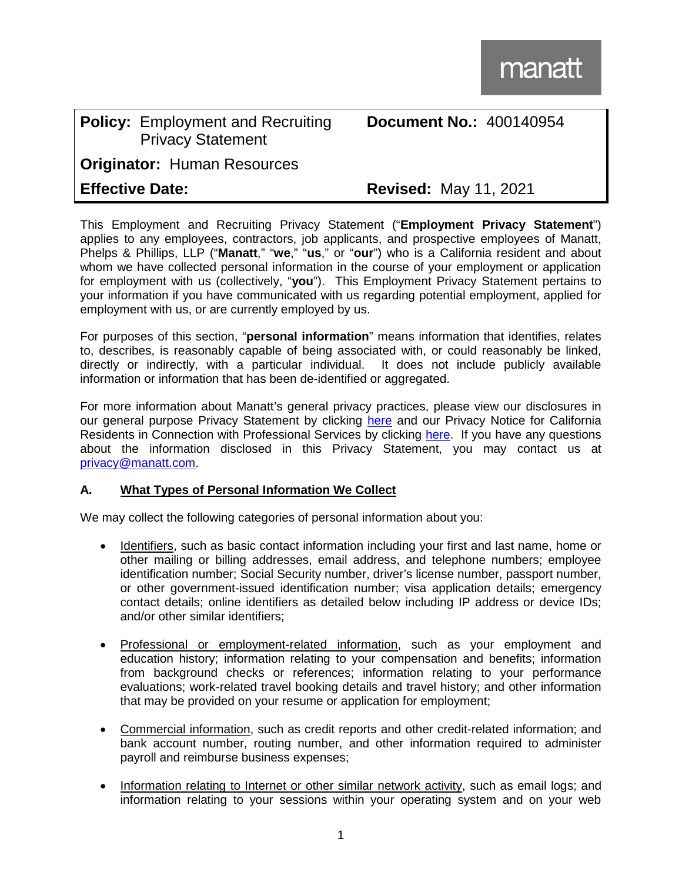## **Policy:** Employment and Recruiting Privacy Statement **Originator:** Human Resources

## **Effective Date: Revised:** May 11, 2021

**Document No.:** 400140954

This Employment and Recruiting Privacy Statement ("**Employment Privacy Statement**") applies to any employees, contractors, job applicants, and prospective employees of Manatt, Phelps & Phillips, LLP ("**Manatt**," "**we**," "**us**," or "**our**") who is a California resident and about whom we have collected personal information in the course of your employment or application for employment with us (collectively, "**you**"). This Employment Privacy Statement pertains to your information if you have communicated with us regarding potential employment, applied for employment with us, or are currently employed by us.

For purposes of this section, "**personal information**" means information that identifies, relates to, describes, is reasonably capable of being associated with, or could reasonably be linked, directly or indirectly, with a particular individual. It does not include publicly available information or information that has been de-identified or aggregated.

For more information about Manatt's general privacy practices, please view our disclosures in our general purpose Privacy Statement by clicking [here](https://www.manatt.com/privacy-statement) and our Privacy Notice for California Residents in Connection with Professional Services by clicking [here.](https://www.manatt.com/privacy-notice-professional-services-california) If you have any questions about the information disclosed in this Privacy Statement, you may contact us at [privacy@manatt.com.](mailto:privacy@manatt.com)

## **A. What Types of Personal Information We Collect**

We may collect the following categories of personal information about you:

- Identifiers, such as basic contact information including your first and last name, home or other mailing or billing addresses, email address, and telephone numbers; employee identification number; Social Security number, driver's license number, passport number, or other government-issued identification number; visa application details; emergency contact details; online identifiers as detailed below including IP address or device IDs; and/or other similar identifiers;
- Professional or employment-related information, such as your employment and education history; information relating to your compensation and benefits; information from background checks or references; information relating to your performance evaluations; work-related travel booking details and travel history; and other information that may be provided on your resume or application for employment;
- Commercial information, such as credit reports and other credit-related information; and bank account number, routing number, and other information required to administer payroll and reimburse business expenses;
- Information relating to Internet or other similar network activity, such as email logs; and information relating to your sessions within your operating system and on your web